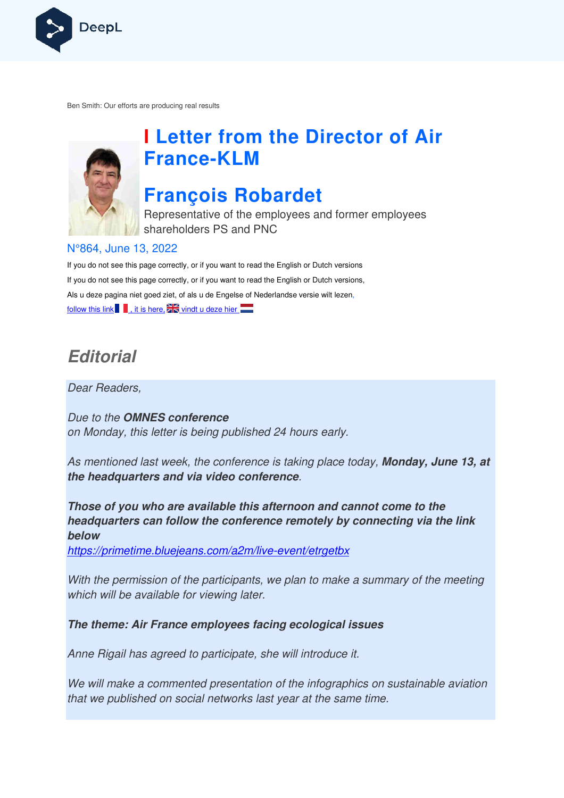

Ben Smith: Our efforts are producing real results



# **I Letter from the Director of Air France France-KLM**

## **François Robardet**

Representative of the employees and former employees shareholders PS and PNC

#### N°864, June 13, 2022

If you do not see this page correctly, or if you want to read the English or Dutch versions If you do not see this page correctly, or if you want to read the English or Dutch versions, Als u deze pagina niet goed ziet, of als u de Engelse of Nederlandse versie wilt lezen, follow this link  $\blacksquare$ , it is here,  $\mathbb{Z}$  vindt u deze hier

## **Editorial**

Dear Readers,

Due to the **OMNES conference**  on Monday, this letter is being published 24 hours early.

As mentioned last week, the conference is taking place today, **Monday, June 13, at the headquarters and via video conference** .

**Those of you who are available this afternoon and cannot come to the headquarters can follow the conference remotely by connecting connecting via the link below**

https://primetime.bluejeans.com/a2m/live https://primetime.bluejeans.com/a2m/live-event/etrgetbx

With the permission of the participants, we plan to make a summary of the meeting which will be available for viewing later.

**The theme: Air France employees facing ecological issues** 

Anne Rigail has agreed to participate, she will introduce it.

We will make a commented presentation of the infographics on sustainable aviation that we published on social networks last year at the same time. r viewing later.<br>**employees facing ecological issues**<br>to participate, she will introduce it.<br>ted presentation of the infographics on s<br>ial networks last year at the same time.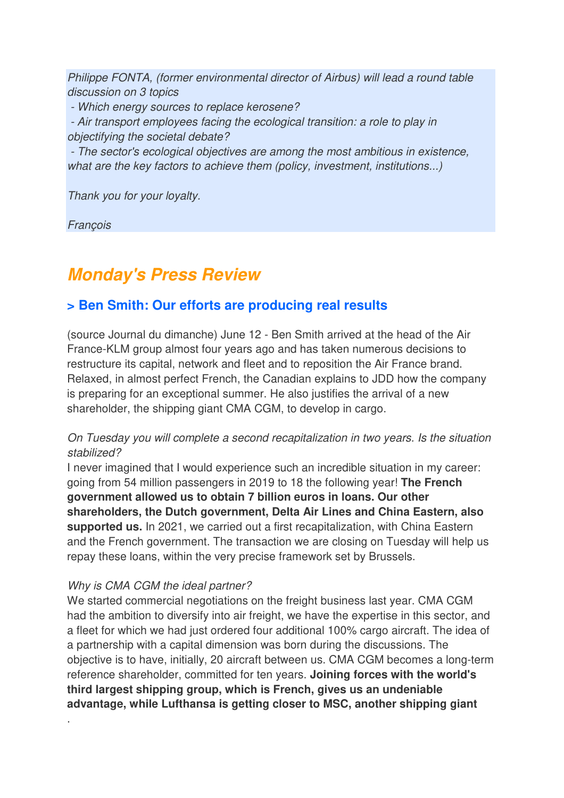Philippe FONTA, (former environmental director of Airbus) will lead a round table discussion on 3 topics

- Which energy sources to replace kerosene?

 - Air transport employees facing the ecological transition: a role to play in objectifying the societal debate?

 - The sector's ecological objectives are among the most ambitious in existence, what are the key factors to achieve them (policy, investment, institutions...)

Thank you for your loyalty.

**Francois** 

## **Monday's Press Review**

## **> Ben Smith: Our efforts are producing real results**

(source Journal du dimanche) June 12 - Ben Smith arrived at the head of the Air France-KLM group almost four years ago and has taken numerous decisions to restructure its capital, network and fleet and to reposition the Air France brand. Relaxed, in almost perfect French, the Canadian explains to JDD how the company is preparing for an exceptional summer. He also justifies the arrival of a new shareholder, the shipping giant CMA CGM, to develop in cargo.

#### On Tuesday you will complete a second recapitalization in two years. Is the situation stabilized?

I never imagined that I would experience such an incredible situation in my career: going from 54 million passengers in 2019 to 18 the following year! **The French government allowed us to obtain 7 billion euros in loans. Our other shareholders, the Dutch government, Delta Air Lines and China Eastern, also supported us.** In 2021, we carried out a first recapitalization, with China Eastern and the French government. The transaction we are closing on Tuesday will help us repay these loans, within the very precise framework set by Brussels.

#### Why is CMA CGM the ideal partner?

.

We started commercial negotiations on the freight business last year. CMA CGM had the ambition to diversify into air freight, we have the expertise in this sector, and a fleet for which we had just ordered four additional 100% cargo aircraft. The idea of a partnership with a capital dimension was born during the discussions. The objective is to have, initially, 20 aircraft between us. CMA CGM becomes a long-term reference shareholder, committed for ten years. **Joining forces with the world's third largest shipping group, which is French, gives us an undeniable advantage, while Lufthansa is getting closer to MSC, another shipping giant**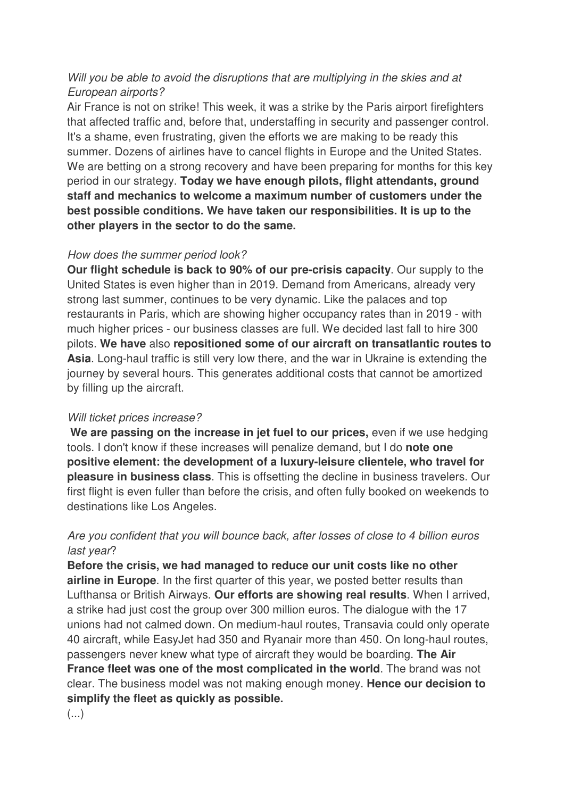#### Will you be able to avoid the disruptions that are multiplying in the skies and at European airports?

Air France is not on strike! This week, it was a strike by the Paris airport firefighters that affected traffic and, before that, understaffing in security and passenger control. It's a shame, even frustrating, given the efforts we are making to be ready this summer. Dozens of airlines have to cancel flights in Europe and the United States. We are betting on a strong recovery and have been preparing for months for this key period in our strategy. **Today we have enough pilots, flight attendants, ground staff and mechanics to welcome a maximum number of customers under the best possible conditions. We have taken our responsibilities. It is up to the other players in the sector to do the same.** 

#### How does the summer period look?

**Our flight schedule is back to 90% of our pre-crisis capacity**. Our supply to the United States is even higher than in 2019. Demand from Americans, already very strong last summer, continues to be very dynamic. Like the palaces and top restaurants in Paris, which are showing higher occupancy rates than in 2019 - with much higher prices - our business classes are full. We decided last fall to hire 300 pilots. **We have** also **repositioned some of our aircraft on transatlantic routes to Asia**. Long-haul traffic is still very low there, and the war in Ukraine is extending the journey by several hours. This generates additional costs that cannot be amortized by filling up the aircraft.

#### Will ticket prices increase?

We are passing on the increase in jet fuel to our prices, even if we use hedging tools. I don't know if these increases will penalize demand, but I do **note one positive element: the development of a luxury-leisure clientele, who travel for pleasure in business class**. This is offsetting the decline in business travelers. Our first flight is even fuller than before the crisis, and often fully booked on weekends to destinations like Los Angeles.

#### Are you confident that you will bounce back, after losses of close to 4 billion euros last year?

**Before the crisis, we had managed to reduce our unit costs like no other airline in Europe**. In the first quarter of this year, we posted better results than Lufthansa or British Airways. **Our efforts are showing real results**. When I arrived, a strike had just cost the group over 300 million euros. The dialogue with the 17 unions had not calmed down. On medium-haul routes, Transavia could only operate 40 aircraft, while EasyJet had 350 and Ryanair more than 450. On long-haul routes, passengers never knew what type of aircraft they would be boarding. **The Air France fleet was one of the most complicated in the world**. The brand was not clear. The business model was not making enough money. **Hence our decision to simplify the fleet as quickly as possible.** 

 $(\ldots)$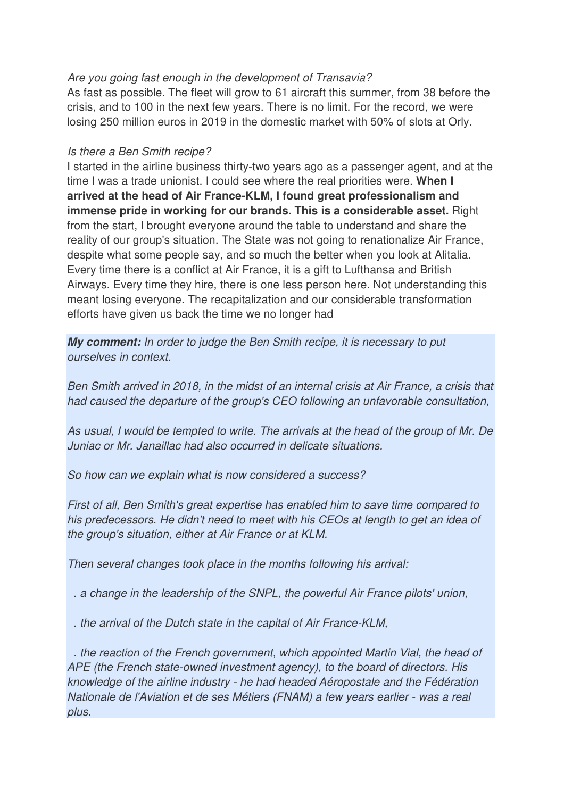#### Are you going fast enough in the development of Transavia?

As fast as possible. The fleet will grow to 61 aircraft this summer, from 38 before the crisis, and to 100 in the next few years. There is no limit. For the record, we were losing 250 million euros in 2019 in the domestic market with 50% of slots at Orly.

#### Is there a Ben Smith recipe?

I started in the airline business thirty-two years ago as a passenger agent, and at the time I was a trade unionist. I could see where the real priorities were. **When I arrived at the head of Air France-KLM, I found great professionalism and immense pride in working for our brands. This is a considerable asset.** Right from the start, I brought everyone around the table to understand and share the reality of our group's situation. The State was not going to renationalize Air France, despite what some people say, and so much the better when you look at Alitalia. Every time there is a conflict at Air France, it is a gift to Lufthansa and British Airways. Every time they hire, there is one less person here. Not understanding this meant losing everyone. The recapitalization and our considerable transformation efforts have given us back the time we no longer had

**My comment:** In order to judge the Ben Smith recipe, it is necessary to put ourselves in context.

Ben Smith arrived in 2018, in the midst of an internal crisis at Air France, a crisis that had caused the departure of the group's CEO following an unfavorable consultation,

As usual, I would be tempted to write. The arrivals at the head of the group of Mr. De Juniac or Mr. Janaillac had also occurred in delicate situations.

So how can we explain what is now considered a success?

First of all, Ben Smith's great expertise has enabled him to save time compared to his predecessors. He didn't need to meet with his CEOs at length to get an idea of the group's situation, either at Air France or at KLM.

Then several changes took place in the months following his arrival:

. a change in the leadership of the SNPL, the powerful Air France pilots' union,

. the arrival of the Dutch state in the capital of Air France-KLM,

 . the reaction of the French government, which appointed Martin Vial, the head of APE (the French state-owned investment agency), to the board of directors. His knowledge of the airline industry - he had headed Aéropostale and the Fédération Nationale de l'Aviation et de ses Métiers (FNAM) a few years earlier - was a real plus.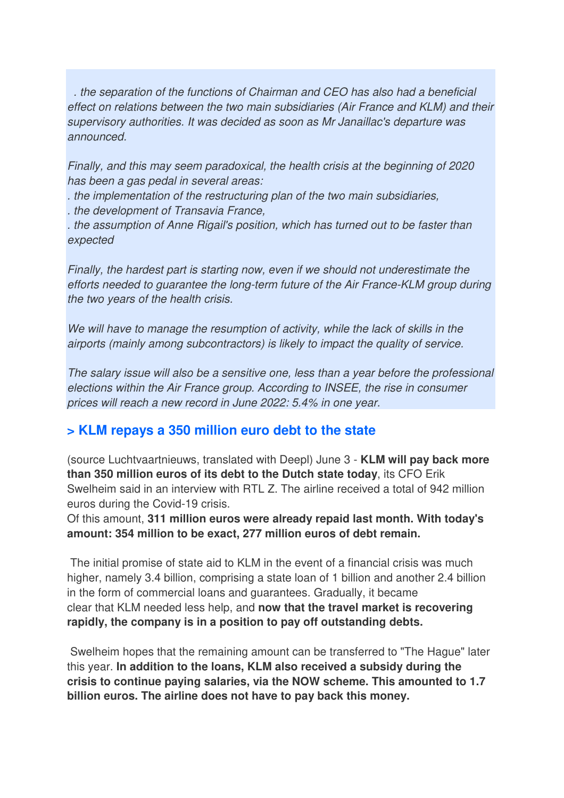. the separation of the functions of Chairman and CEO has also had a beneficial effect on relations between the two main subsidiaries (Air France and KLM) and their supervisory authorities. It was decided as soon as Mr Janaillac's departure was announced.

Finally, and this may seem paradoxical, the health crisis at the beginning of 2020 has been a gas pedal in several areas:

. the implementation of the restructuring plan of the two main subsidiaries,

. the development of Transavia France,

. the assumption of Anne Rigail's position, which has turned out to be faster than expected

Finally, the hardest part is starting now, even if we should not underestimate the efforts needed to guarantee the long-term future of the Air France-KLM group during the two years of the health crisis.

We will have to manage the resumption of activity, while the lack of skills in the airports (mainly among subcontractors) is likely to impact the quality of service.

The salary issue will also be a sensitive one, less than a year before the professional elections within the Air France group. According to INSEE, the rise in consumer prices will reach a new record in June 2022: 5.4% in one year.

### **> KLM repays a 350 million euro debt to the state**

(source Luchtvaartnieuws, translated with Deepl) June 3 - **KLM will pay back more than 350 million euros of its debt to the Dutch state today**, its CFO Erik Swelheim said in an interview with RTL Z. The airline received a total of 942 million euros during the Covid-19 crisis.

Of this amount, **311 million euros were already repaid last month. With today's amount: 354 million to be exact, 277 million euros of debt remain.** 

 The initial promise of state aid to KLM in the event of a financial crisis was much higher, namely 3.4 billion, comprising a state loan of 1 billion and another 2.4 billion in the form of commercial loans and guarantees. Gradually, it became clear that KLM needed less help, and **now that the travel market is recovering rapidly, the company is in a position to pay off outstanding debts.** 

 Swelheim hopes that the remaining amount can be transferred to "The Hague" later this year. **In addition to the loans, KLM also received a subsidy during the crisis to continue paying salaries, via the NOW scheme. This amounted to 1.7 billion euros. The airline does not have to pay back this money.**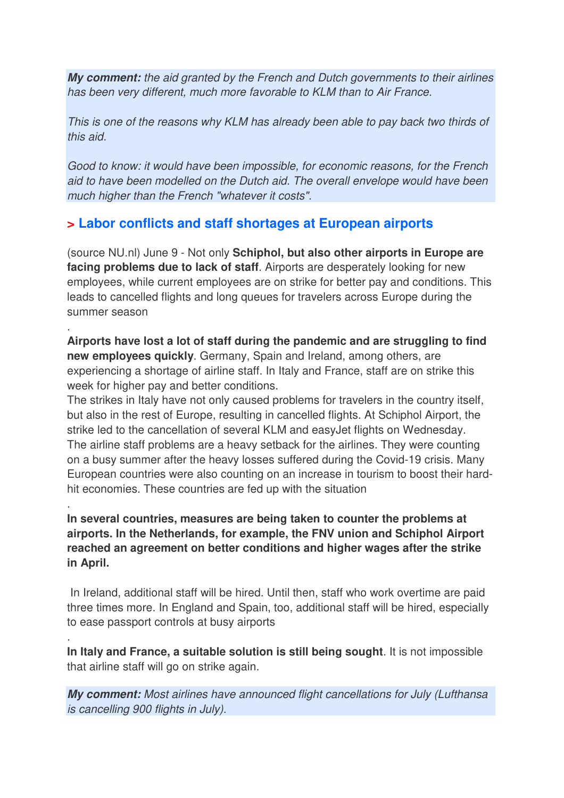**My comment:** the aid granted by the French and Dutch governments to their airlines has been very different, much more favorable to KLM than to Air France.

This is one of the reasons why KLM has already been able to pay back two thirds of this aid.

Good to know: it would have been impossible, for economic reasons, for the French aid to have been modelled on the Dutch aid. The overall envelope would have been much higher than the French "whatever it costs".

## **> Labor conflicts and staff shortages at European airports**

.

.

.

(source NU.nl) June 9 - Not only **Schiphol, but also other airports in Europe are facing problems due to lack of staff**. Airports are desperately looking for new employees, while current employees are on strike for better pay and conditions. This leads to cancelled flights and long queues for travelers across Europe during the summer season

**Airports have lost a lot of staff during the pandemic and are struggling to find new employees quickly**. Germany, Spain and Ireland, among others, are experiencing a shortage of airline staff. In Italy and France, staff are on strike this week for higher pay and better conditions.

The strikes in Italy have not only caused problems for travelers in the country itself, but also in the rest of Europe, resulting in cancelled flights. At Schiphol Airport, the strike led to the cancellation of several KLM and easyJet flights on Wednesday. The airline staff problems are a heavy setback for the airlines. They were counting on a busy summer after the heavy losses suffered during the Covid-19 crisis. Many European countries were also counting on an increase in tourism to boost their hardhit economies. These countries are fed up with the situation

#### **In several countries, measures are being taken to counter the problems at airports. In the Netherlands, for example, the FNV union and Schiphol Airport reached an agreement on better conditions and higher wages after the strike in April.**

 In Ireland, additional staff will be hired. Until then, staff who work overtime are paid three times more. In England and Spain, too, additional staff will be hired, especially to ease passport controls at busy airports

**In Italy and France, a suitable solution is still being sought**. It is not impossible that airline staff will go on strike again.

**My comment:** Most airlines have announced flight cancellations for July (Lufthansa is cancelling 900 flights in July).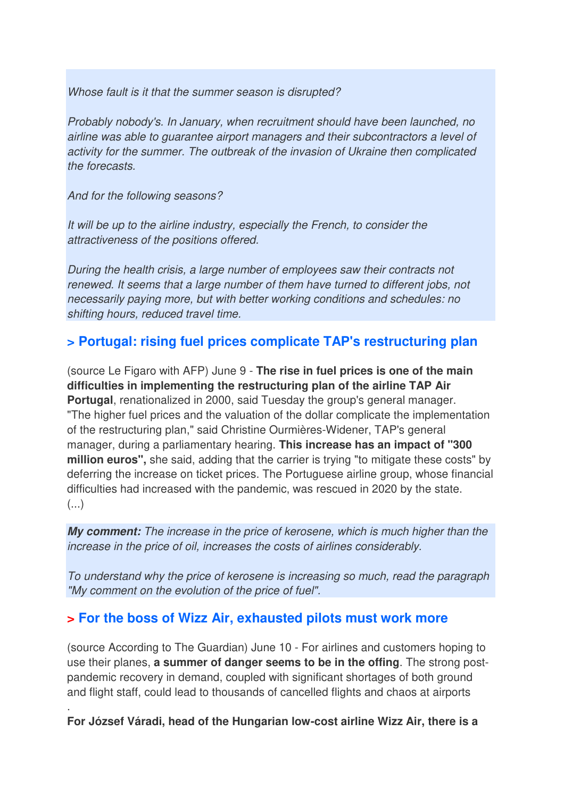Whose fault is it that the summer season is disrupted?

Probably nobody's. In January, when recruitment should have been launched, no airline was able to guarantee airport managers and their subcontractors a level of activity for the summer. The outbreak of the invasion of Ukraine then complicated the forecasts.

And for the following seasons?

.

It will be up to the airline industry, especially the French, to consider the attractiveness of the positions offered.

During the health crisis, a large number of employees saw their contracts not renewed. It seems that a large number of them have turned to different jobs, not necessarily paying more, but with better working conditions and schedules: no shifting hours, reduced travel time.

### **> Portugal: rising fuel prices complicate TAP's restructuring plan**

(source Le Figaro with AFP) June 9 - **The rise in fuel prices is one of the main difficulties in implementing the restructuring plan of the airline TAP Air Portugal**, renationalized in 2000, said Tuesday the group's general manager. "The higher fuel prices and the valuation of the dollar complicate the implementation of the restructuring plan," said Christine Ourmières-Widener, TAP's general manager, during a parliamentary hearing. **This increase has an impact of "300 million euros",** she said, adding that the carrier is trying "to mitigate these costs" by deferring the increase on ticket prices. The Portuguese airline group, whose financial difficulties had increased with the pandemic, was rescued in 2020 by the state.  $\left( \ldots \right)$ 

**My comment:** The increase in the price of kerosene, which is much higher than the increase in the price of oil, increases the costs of airlines considerably.

To understand why the price of kerosene is increasing so much, read the paragraph "My comment on the evolution of the price of fuel".

#### **> For the boss of Wizz Air, exhausted pilots must work more**

(source According to The Guardian) June 10 - For airlines and customers hoping to use their planes, **a summer of danger seems to be in the offing**. The strong postpandemic recovery in demand, coupled with significant shortages of both ground and flight staff, could lead to thousands of cancelled flights and chaos at airports

**For József Váradi, head of the Hungarian low-cost airline Wizz Air, there is a**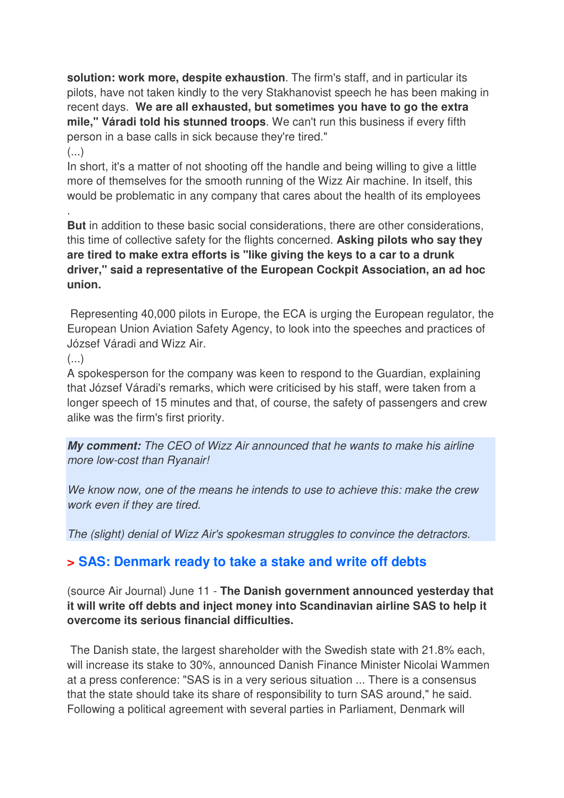**solution: work more, despite exhaustion**. The firm's staff, and in particular its pilots, have not taken kindly to the very Stakhanovist speech he has been making in recent days. **We are all exhausted, but sometimes you have to go the extra mile," Váradi told his stunned troops**. We can't run this business if every fifth person in a base calls in sick because they're tired."

#### $\left( \ldots \right)$

.

In short, it's a matter of not shooting off the handle and being willing to give a little more of themselves for the smooth running of the Wizz Air machine. In itself, this would be problematic in any company that cares about the health of its employees

**But** in addition to these basic social considerations, there are other considerations, this time of collective safety for the flights concerned. **Asking pilots who say they are tired to make extra efforts is "like giving the keys to a car to a drunk driver," said a representative of the European Cockpit Association, an ad hoc union.** 

 Representing 40,000 pilots in Europe, the ECA is urging the European regulator, the European Union Aviation Safety Agency, to look into the speeches and practices of József Váradi and Wizz Air.

 $\left( \ldots \right)$ 

A spokesperson for the company was keen to respond to the Guardian, explaining that József Váradi's remarks, which were criticised by his staff, were taken from a longer speech of 15 minutes and that, of course, the safety of passengers and crew alike was the firm's first priority.

**My comment:** The CEO of Wizz Air announced that he wants to make his airline more low-cost than Ryanair!

We know now, one of the means he intends to use to achieve this: make the crew work even if they are tired.

The (slight) denial of Wizz Air's spokesman struggles to convince the detractors.

## **> SAS: Denmark ready to take a stake and write off debts**

(source Air Journal) June 11 - **The Danish government announced yesterday that it will write off debts and inject money into Scandinavian airline SAS to help it overcome its serious financial difficulties.** 

 The Danish state, the largest shareholder with the Swedish state with 21.8% each, will increase its stake to 30%, announced Danish Finance Minister Nicolai Wammen at a press conference: "SAS is in a very serious situation ... There is a consensus that the state should take its share of responsibility to turn SAS around," he said. Following a political agreement with several parties in Parliament, Denmark will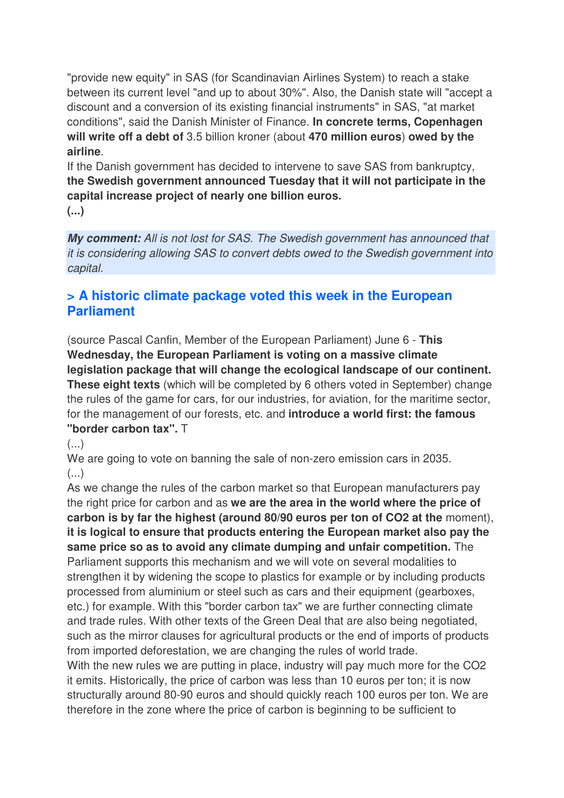"provide new equity" in SAS (for Scandinavian Airlines System) to reach a stake between its current level "and up to about 30%". Also, the Danish state will "accept a discount and a conversion of its existing financial instruments" in SAS, "at market conditions", said the Danish Minister of Finance. **In concrete terms, Copenhagen will write off a debt of** 3.5 billion kroner (about **470 million euros**) **owed by the airline**.

If the Danish government has decided to intervene to save SAS from bankruptcy, **the Swedish government announced Tuesday that it will not participate in the capital increase project of nearly one billion euros.** 

**(...)**

**My comment:** All is not lost for SAS. The Swedish government has announced that it is considering allowing SAS to convert debts owed to the Swedish government into capital.

## **> A historic climate package voted this week in the European Parliament**

(source Pascal Canfin, Member of the European Parliament) June 6 - **This Wednesday, the European Parliament is voting on a massive climate legislation package that will change the ecological landscape of our continent. These eight texts** (which will be completed by 6 others voted in September) change the rules of the game for cars, for our industries, for aviation, for the maritime sector, for the management of our forests, etc. and **introduce a world first: the famous "border carbon tax".** T

 $\left( \ldots \right)$ 

We are going to vote on banning the sale of non-zero emission cars in 2035.  $(\ldots)$ 

As we change the rules of the carbon market so that European manufacturers pay the right price for carbon and as **we are the area in the world where the price of carbon is by far the highest (around 80/90 euros per ton of CO2 at the** moment), **it is logical to ensure that products entering the European market also pay the same price so as to avoid any climate dumping and unfair competition.** The Parliament supports this mechanism and we will vote on several modalities to strengthen it by widening the scope to plastics for example or by including products processed from aluminium or steel such as cars and their equipment (gearboxes, etc.) for example. With this "border carbon tax" we are further connecting climate and trade rules. With other texts of the Green Deal that are also being negotiated, such as the mirror clauses for agricultural products or the end of imports of products from imported deforestation, we are changing the rules of world trade.

With the new rules we are putting in place, industry will pay much more for the CO2 it emits. Historically, the price of carbon was less than 10 euros per ton; it is now structurally around 80-90 euros and should quickly reach 100 euros per ton. We are therefore in the zone where the price of carbon is beginning to be sufficient to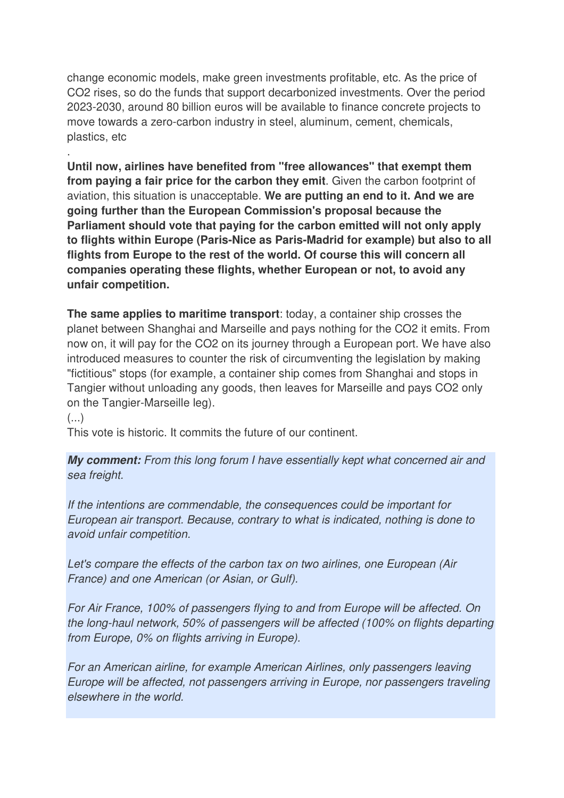change economic models, make green investments profitable, etc. As the price of CO2 rises, so do the funds that support decarbonized investments. Over the period 2023-2030, around 80 billion euros will be available to finance concrete projects to move towards a zero-carbon industry in steel, aluminum, cement, chemicals, plastics, etc

**Until now, airlines have benefited from "free allowances" that exempt them from paying a fair price for the carbon they emit**. Given the carbon footprint of aviation, this situation is unacceptable. **We are putting an end to it. And we are going further than the European Commission's proposal because the Parliament should vote that paying for the carbon emitted will not only apply to flights within Europe (Paris-Nice as Paris-Madrid for example) but also to all flights from Europe to the rest of the world. Of course this will concern all companies operating these flights, whether European or not, to avoid any unfair competition.** 

**The same applies to maritime transport**: today, a container ship crosses the planet between Shanghai and Marseille and pays nothing for the CO2 it emits. From now on, it will pay for the CO2 on its journey through a European port. We have also introduced measures to counter the risk of circumventing the legislation by making "fictitious" stops (for example, a container ship comes from Shanghai and stops in Tangier without unloading any goods, then leaves for Marseille and pays CO2 only on the Tangier-Marseille leg).

 $(\ldots)$ 

.

This vote is historic. It commits the future of our continent.

**My comment:** From this long forum I have essentially kept what concerned air and sea freight.

If the intentions are commendable, the consequences could be important for European air transport. Because, contrary to what is indicated, nothing is done to avoid unfair competition.

Let's compare the effects of the carbon tax on two airlines, one European (Air France) and one American (or Asian, or Gulf).

For Air France, 100% of passengers flying to and from Europe will be affected. On the long-haul network, 50% of passengers will be affected (100% on flights departing from Europe, 0% on flights arriving in Europe).

For an American airline, for example American Airlines, only passengers leaving Europe will be affected, not passengers arriving in Europe, nor passengers traveling elsewhere in the world.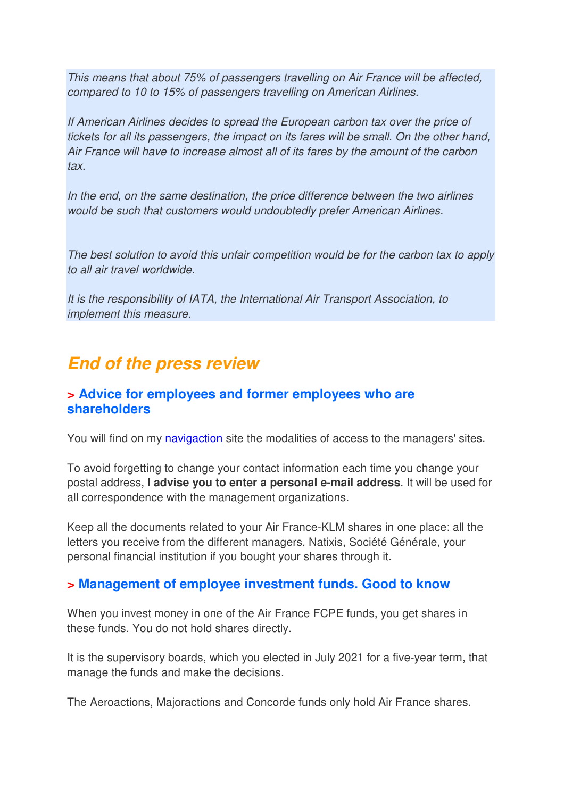This means that about 75% of passengers travelling on Air France will be affected, compared to 10 to 15% of passengers travelling on American Airlines.

If American Airlines decides to spread the European carbon tax over the price of tickets for all its passengers, the impact on its fares will be small. On the other hand, Air France will have to increase almost all of its fares by the amount of the carbon tax.

In the end, on the same destination, the price difference between the two airlines would be such that customers would undoubtedly prefer American Airlines.

The best solution to avoid this unfair competition would be for the carbon tax to apply to all air travel worldwide.

It is the responsibility of IATA, the International Air Transport Association, to implement this measure.

## **End of the press review**

### **> Advice for employees and former employees who are shareholders**

You will find on my navigaction site the modalities of access to the managers' sites.

To avoid forgetting to change your contact information each time you change your postal address, **I advise you to enter a personal e-mail address**. It will be used for all correspondence with the management organizations.

Keep all the documents related to your Air France-KLM shares in one place: all the letters you receive from the different managers, Natixis, Société Générale, your personal financial institution if you bought your shares through it.

### **> Management of employee investment funds. Good to know**

When you invest money in one of the Air France FCPE funds, you get shares in these funds. You do not hold shares directly.

It is the supervisory boards, which you elected in July 2021 for a five-year term, that manage the funds and make the decisions.

The Aeroactions, Majoractions and Concorde funds only hold Air France shares.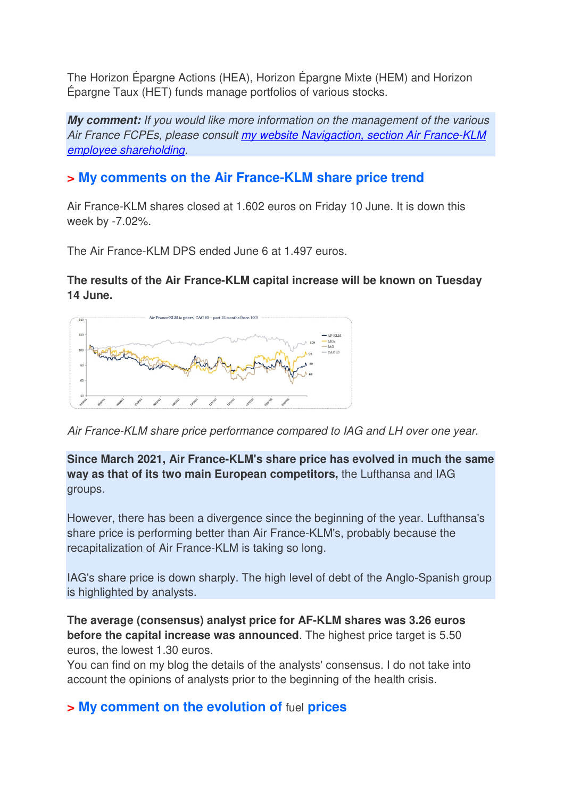The Horizon Épargne Actions (HEA), Horizon Épargne Mixte (HEM) and Horizon Épargne Taux (HET) funds manage portfolios of various stocks.

**My comment:** If you would like more information on the management of the various Air France FCPEs, please consult my website Navigaction, section Air France-KLM employee shareholding.

## **> My comments on the Air France-KLM share price trend**

Air France-KLM shares closed at 1.602 euros on Friday 10 June. It is down this week by -7.02%.

The Air France-KLM DPS ended June 6 at 1.497 euros.

#### **The results of the Air France-KLM capital increase will be known on Tuesday 14 June.**



Air France-KLM share price performance compared to IAG and LH over one year.

#### **Since March 2021, Air France-KLM's share price has evolved in much the same way as that of its two main European competitors,** the Lufthansa and IAG groups.

However, there has been a divergence since the beginning of the year. Lufthansa's share price is performing better than Air France-KLM's, probably because the recapitalization of Air France-KLM is taking so long.

IAG's share price is down sharply. The high level of debt of the Anglo-Spanish group is highlighted by analysts.

**The average (consensus) analyst price for AF-KLM shares was 3.26 euros before the capital increase was announced**. The highest price target is 5.50 euros, the lowest 1.30 euros.

You can find on my blog the details of the analysts' consensus. I do not take into account the opinions of analysts prior to the beginning of the health crisis.

## **> My comment on the evolution of** fuel **prices**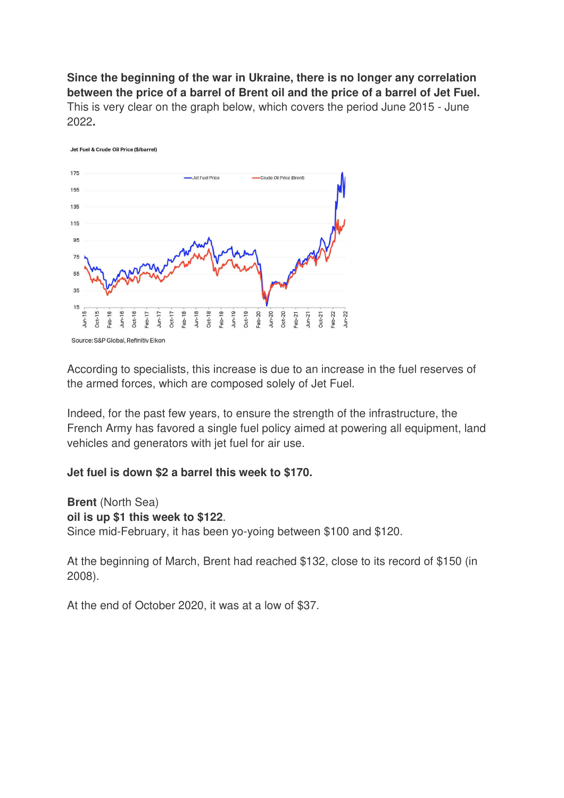**Since the beginning of the war in Ukraine, there is no longer any correlation between the price of a barrel of Brent oil and the price of a barrel of Jet Fuel.**  This is very clear on the graph below, which covers the period June 2015 - June 2022**.** 



According to specialists, this increase is due to an increase in the fuel reserves of the armed forces, which are composed solely of Jet Fuel.

Indeed, for the past few years, to ensure the strength of the infrastructure, the French Army has favored a single fuel policy aimed at powering all equipment, land vehicles and generators with jet fuel for air use.

#### **Jet fuel is down \$2 a barrel this week to \$170.**

**Brent** (North Sea) **oil is up \$1 this week to \$122**. Since mid-February, it has been yo-yoing between \$100 and \$120.

At the beginning of March, Brent had reached \$132, close to its record of \$150 (in 2008).

At the end of October 2020, it was at a low of \$37.